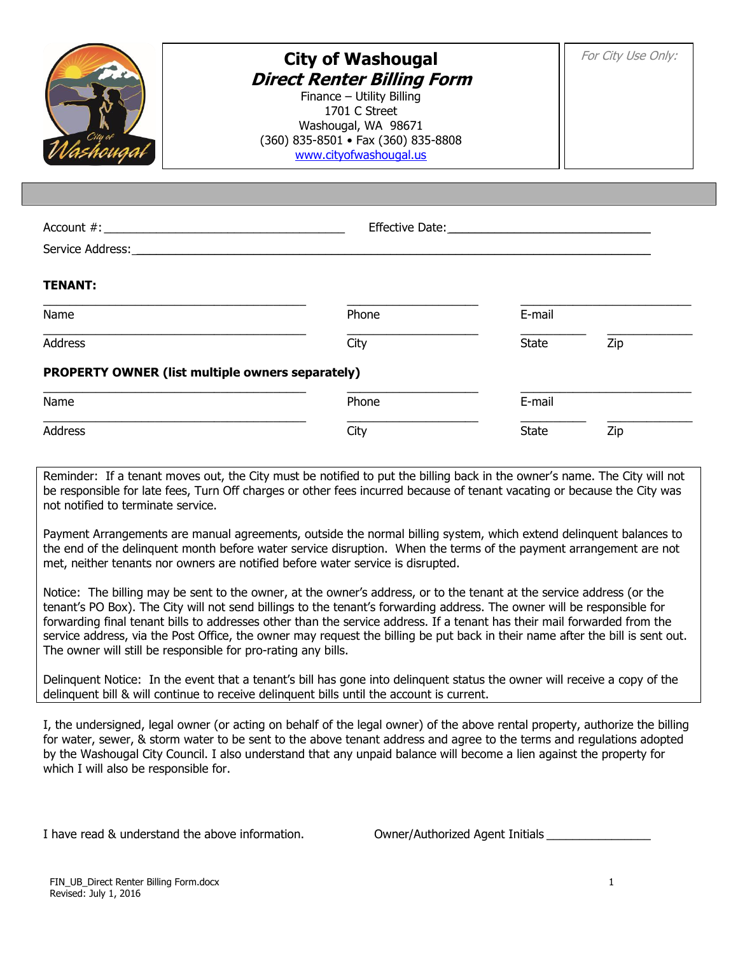

## **City of Washougal Direct Renter Billing Form**

Finance – Utility Billing 1701 C Street Washougal, WA 98671 (360) 835-8501 • Fax (360) 835-8808 [www.cityofwashougal.us](http://www.cityofwashougal.us/)

Account #:  $\blacksquare$ Service Address: **TENANT:** \_\_\_\_\_\_\_\_\_\_\_\_\_\_\_\_\_\_\_\_\_\_\_\_\_\_\_\_\_\_\_\_\_\_\_\_\_\_\_\_ \_\_\_\_\_\_\_\_\_\_\_\_\_\_\_\_\_\_\_\_ \_\_\_\_\_\_\_\_\_\_\_\_\_\_\_\_\_\_\_\_\_\_\_\_\_\_ Name **E-mail** \_\_\_\_\_\_\_\_\_\_\_\_\_\_\_\_\_\_\_\_\_\_\_\_\_\_\_\_\_\_\_\_\_\_\_\_\_\_\_\_ \_\_\_\_\_\_\_\_\_\_\_\_\_\_\_\_\_\_\_\_ \_\_\_\_\_\_\_\_\_\_ \_\_\_\_\_\_\_\_\_\_\_\_\_ Address City State Zip

## **PROPERTY OWNER (list multiple owners separately)**

| Name    | Phone | E-mail |     |
|---------|-------|--------|-----|
| Address | City  | State  | Zip |

Reminder: If a tenant moves out, the City must be notified to put the billing back in the owner's name. The City will not be responsible for late fees, Turn Off charges or other fees incurred because of tenant vacating or because the City was not notified to terminate service.

Payment Arrangements are manual agreements, outside the normal billing system, which extend delinquent balances to the end of the delinquent month before water service disruption. When the terms of the payment arrangement are not met, neither tenants nor owners are notified before water service is disrupted.

Notice: The billing may be sent to the owner, at the owner's address, or to the tenant at the service address (or the tenant's PO Box). The City will not send billings to the tenant's forwarding address. The owner will be responsible for forwarding final tenant bills to addresses other than the service address. If a tenant has their mail forwarded from the service address, via the Post Office, the owner may request the billing be put back in their name after the bill is sent out. The owner will still be responsible for pro-rating any bills.

Delinquent Notice: In the event that a tenant's bill has gone into delinquent status the owner will receive a copy of the delinquent bill & will continue to receive delinquent bills until the account is current.

I, the undersigned, legal owner (or acting on behalf of the legal owner) of the above rental property, authorize the billing for water, sewer, & storm water to be sent to the above tenant address and agree to the terms and regulations adopted by the Washougal City Council. I also understand that any unpaid balance will become a lien against the property for which I will also be responsible for.

I have read  $\&$  understand the above information.  $\qquad \qquad$   $\qquad \qquad$   $\qquad \qquad$   $\qquad \qquad$   $\qquad \qquad$   $\qquad \qquad$   $\qquad \qquad$   $\qquad \qquad$   $\qquad \qquad$   $\qquad \qquad$   $\qquad \qquad$   $\qquad \qquad$   $\qquad \qquad$   $\qquad \qquad$   $\qquad \qquad$   $\qquad \qquad$   $\qquad \qquad$   $\qquad \qquad$   $\qquad \qquad$ 

| Owner/Authorized Agent Initials |
|---------------------------------|
|                                 |